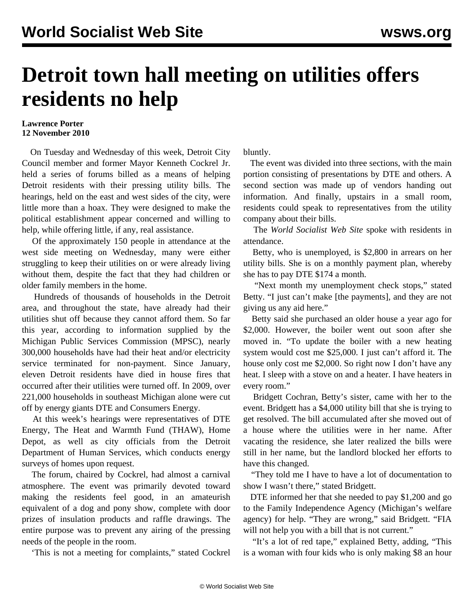## **Detroit town hall meeting on utilities offers residents no help**

## **Lawrence Porter 12 November 2010**

 On Tuesday and Wednesday of this week, Detroit City Council member and former Mayor Kenneth Cockrel Jr. held a series of forums billed as a means of helping Detroit residents with their pressing utility bills. The hearings, held on the east and west sides of the city, were little more than a hoax. They were designed to make the political establishment appear concerned and willing to help, while offering little, if any, real assistance.

 Of the approximately 150 people in attendance at the west side meeting on Wednesday, many were either struggling to keep their utilities on or were already living without them, despite the fact that they had children or older family members in the home.

 Hundreds of thousands of households in the Detroit area, and throughout the state, have already had their utilities shut off because they cannot afford them. So far this year, according to information supplied by the Michigan Public Services Commission (MPSC), nearly 300,000 households have had their heat and/or electricity service terminated for non-payment. Since January, eleven Detroit residents have died in house fires that occurred after their utilities were turned off. In 2009, over 221,000 households in southeast Michigan alone were cut off by energy giants DTE and Consumers Energy.

 At this week's hearings were representatives of DTE Energy, The Heat and Warmth Fund (THAW), Home Depot, as well as city officials from the Detroit Department of Human Services, which conducts energy surveys of homes upon request.

 The forum, chaired by Cockrel, had almost a carnival atmosphere. The event was primarily devoted toward making the residents feel good, in an amateurish equivalent of a dog and pony show, complete with door prizes of insulation products and raffle drawings. The entire purpose was to prevent any airing of the pressing needs of the people in the room.

'This is not a meeting for complaints," stated Cockrel

bluntly.

 The event was divided into three sections, with the main portion consisting of presentations by DTE and others. A second section was made up of vendors handing out information. And finally, upstairs in a small room, residents could speak to representatives from the utility company about their bills.

 The *World Socialist Web Site* spoke with residents in attendance.

 Betty, who is unemployed, is \$2,800 in arrears on her utility bills. She is on a monthly payment plan, whereby she has to pay DTE \$174 a month.

 "Next month my unemployment check stops," stated Betty. "I just can't make [the payments], and they are not giving us any aid here."

 Betty said she purchased an older house a year ago for \$2,000. However, the boiler went out soon after she moved in. "To update the boiler with a new heating system would cost me \$25,000. I just can't afford it. The house only cost me \$2,000. So right now I don't have any heat. I sleep with a stove on and a heater. I have heaters in every room."

 Bridgett Cochran, Betty's sister, came with her to the event. Bridgett has a \$4,000 utility bill that she is trying to get resolved. The bill accumulated after she moved out of a house where the utilities were in her name. After vacating the residence, she later realized the bills were still in her name, but the landlord blocked her efforts to have this changed.

 "They told me I have to have a lot of documentation to show I wasn't there," stated Bridgett.

 DTE informed her that she needed to pay \$1,200 and go to the Family Independence Agency (Michigan's welfare agency) for help. "They are wrong," said Bridgett. "FIA will not help you with a bill that is not current."

 "It's a lot of red tape," explained Betty, adding, "This is a woman with four kids who is only making \$8 an hour